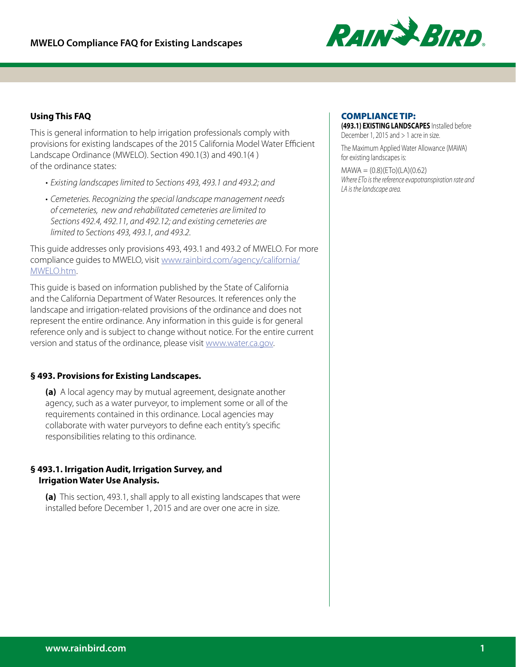

# **Using This FAQ**

This is general information to help irrigation professionals comply with provisions for existing landscapes of the 2015 California Model Water Efficient Landscape Ordinance (MWELO). Section 490.1(3) and 490.1(4 ) of the ordinance states:

- *• Existing landscapes limited to Sections 493, 493.1 and 493.2; and*
- *• Cemeteries. Recognizing the special landscape management needs of cemeteries, new and rehabilitated cemeteries are limited to Sections 492.4, 492.11, and 492.12; and existing cemeteries are limited to Sections 493, 493.1, and 493.2.*

This guide addresses only provisions 493, 493.1 and 493.2 of MWELO. For more compliance guides to MWELO, visit [www.rainbird.com/agency/california/](http://www.rainbird.com/agency/california/MWELO.htm) [MWELO.htm](http://www.rainbird.com/agency/california/MWELO.htm).

This guide is based on information published by the State of California and the California Department of Water Resources. It references only the landscape and irrigation-related provisions of the ordinance and does not represent the entire ordinance. Any information in this guide is for general reference only and is subject to change without notice. For the entire current version and status of the ordinance, please visit [www.water.ca.gov](http://www.water.ca.gov).

## **§ 493. Provisions for Existing Landscapes.**

**(a)** A local agency may by mutual agreement, designate another agency, such as a water purveyor, to implement some or all of the requirements contained in this ordinance. Local agencies may collaborate with water purveyors to define each entity's specific responsibilities relating to this ordinance.

## **§ 493.1. Irrigation Audit, Irrigation Survey, and Irrigation Water Use Analysis.**

**(a)** This section, 493.1, shall apply to all existing landscapes that were installed before December 1, 2015 and are over one acre in size.

## COMPLIANCE TIP:

**(493.1) EXISTING LANDSCAPES** Installed before December 1, 2015 and > 1 acre in size.

The Maximum Applied Water Allowance (MAWA) for existing landscapes is:

 $MAWA = (0.8)(ETo)(LA)(0.62)$ *Where ETo is the reference evapotranspiration rate and LA is the landscape area.*